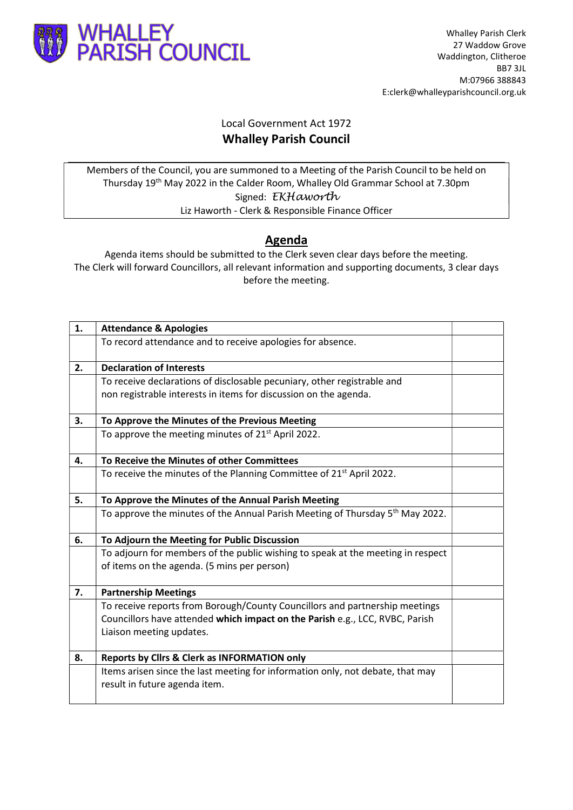

## Local Government Act 1972 Whalley Parish Council

Members of the Council, you are summoned to a Meeting of the Parish Council to be held on Thursday 19th May 2022 in the Calder Room, Whalley Old Grammar School at 7.30pm Signed: EKHaworth Liz Haworth - Clerk & Responsible Finance Officer

## Agenda

Agenda items should be submitted to the Clerk seven clear days before the meeting. The Clerk will forward Councillors, all relevant information and supporting documents, 3 clear days before the meeting.

| 1. | <b>Attendance &amp; Apologies</b>                                                                                              |  |
|----|--------------------------------------------------------------------------------------------------------------------------------|--|
|    | To record attendance and to receive apologies for absence.                                                                     |  |
| 2. | <b>Declaration of Interests</b>                                                                                                |  |
|    | To receive declarations of disclosable pecuniary, other registrable and                                                        |  |
|    | non registrable interests in items for discussion on the agenda.                                                               |  |
| 3. | To Approve the Minutes of the Previous Meeting                                                                                 |  |
|    | To approve the meeting minutes of 21 <sup>st</sup> April 2022.                                                                 |  |
| 4. | To Receive the Minutes of other Committees                                                                                     |  |
|    | To receive the minutes of the Planning Committee of 21 <sup>st</sup> April 2022.                                               |  |
| 5. | To Approve the Minutes of the Annual Parish Meeting                                                                            |  |
|    | To approve the minutes of the Annual Parish Meeting of Thursday 5 <sup>th</sup> May 2022.                                      |  |
| 6. | To Adjourn the Meeting for Public Discussion                                                                                   |  |
|    | To adjourn for members of the public wishing to speak at the meeting in respect<br>of items on the agenda. (5 mins per person) |  |
| 7. | <b>Partnership Meetings</b>                                                                                                    |  |
|    | To receive reports from Borough/County Councillors and partnership meetings                                                    |  |
|    | Councillors have attended which impact on the Parish e.g., LCC, RVBC, Parish                                                   |  |
|    | Liaison meeting updates.                                                                                                       |  |
| 8. | <b>Reports by Clirs &amp; Clerk as INFORMATION only</b>                                                                        |  |
|    | Items arisen since the last meeting for information only, not debate, that may                                                 |  |
|    | result in future agenda item.                                                                                                  |  |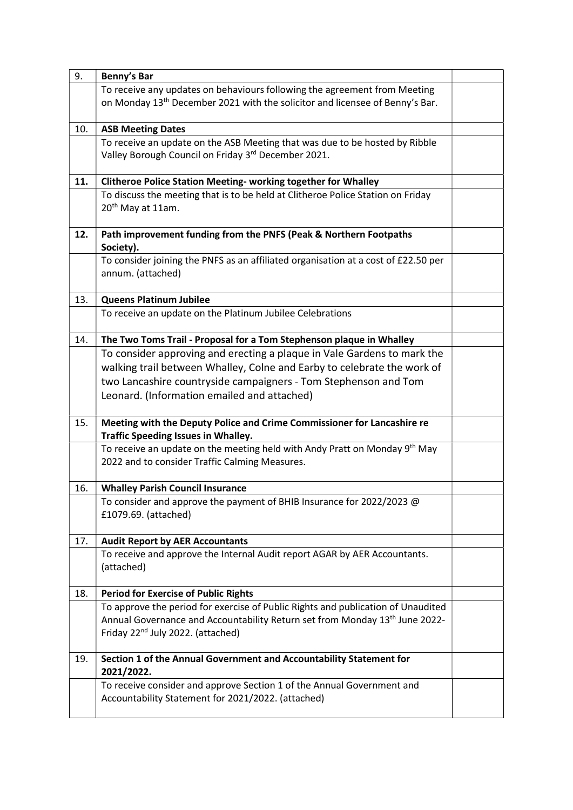| 9.  | <b>Benny's Bar</b>                                                                                                                                                                                                                                                   |  |
|-----|----------------------------------------------------------------------------------------------------------------------------------------------------------------------------------------------------------------------------------------------------------------------|--|
|     | To receive any updates on behaviours following the agreement from Meeting<br>on Monday 13 <sup>th</sup> December 2021 with the solicitor and licensee of Benny's Bar.                                                                                                |  |
| 10. | <b>ASB Meeting Dates</b>                                                                                                                                                                                                                                             |  |
|     | To receive an update on the ASB Meeting that was due to be hosted by Ribble<br>Valley Borough Council on Friday 3rd December 2021.                                                                                                                                   |  |
| 11. | Clitheroe Police Station Meeting- working together for Whalley                                                                                                                                                                                                       |  |
|     | To discuss the meeting that is to be held at Clitheroe Police Station on Friday<br>20 <sup>th</sup> May at 11am.                                                                                                                                                     |  |
| 12. | Path improvement funding from the PNFS (Peak & Northern Footpaths<br>Society).                                                                                                                                                                                       |  |
|     | To consider joining the PNFS as an affiliated organisation at a cost of £22.50 per<br>annum. (attached)                                                                                                                                                              |  |
| 13. | <b>Queens Platinum Jubilee</b>                                                                                                                                                                                                                                       |  |
|     | To receive an update on the Platinum Jubilee Celebrations                                                                                                                                                                                                            |  |
| 14. | The Two Toms Trail - Proposal for a Tom Stephenson plaque in Whalley                                                                                                                                                                                                 |  |
|     | To consider approving and erecting a plaque in Vale Gardens to mark the<br>walking trail between Whalley, Colne and Earby to celebrate the work of<br>two Lancashire countryside campaigners - Tom Stephenson and Tom<br>Leonard. (Information emailed and attached) |  |
| 15. | Meeting with the Deputy Police and Crime Commissioner for Lancashire re<br><b>Traffic Speeding Issues in Whalley.</b>                                                                                                                                                |  |
|     | To receive an update on the meeting held with Andy Pratt on Monday 9 <sup>th</sup> May<br>2022 and to consider Traffic Calming Measures.                                                                                                                             |  |
| 16. | <b>Whalley Parish Council Insurance</b>                                                                                                                                                                                                                              |  |
|     | To consider and approve the payment of BHIB Insurance for 2022/2023 @<br>£1079.69. (attached)                                                                                                                                                                        |  |
| 17. | <b>Audit Report by AER Accountants</b>                                                                                                                                                                                                                               |  |
|     | To receive and approve the Internal Audit report AGAR by AER Accountants.<br>(attached)                                                                                                                                                                              |  |
| 18. | <b>Period for Exercise of Public Rights</b>                                                                                                                                                                                                                          |  |
|     | To approve the period for exercise of Public Rights and publication of Unaudited<br>Annual Governance and Accountability Return set from Monday 13 <sup>th</sup> June 2022-<br>Friday 22 <sup>nd</sup> July 2022. (attached)                                         |  |
| 19. | Section 1 of the Annual Government and Accountability Statement for<br>2021/2022.                                                                                                                                                                                    |  |
|     | To receive consider and approve Section 1 of the Annual Government and<br>Accountability Statement for 2021/2022. (attached)                                                                                                                                         |  |